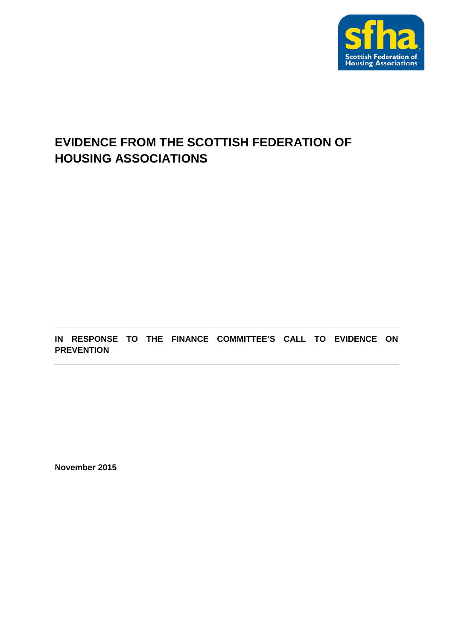

# **EVIDENCE FROM THE SCOTTISH FEDERATION OF HOUSING ASSOCIATIONS**

**IN RESPONSE TO THE FINANCE COMMITTEE'S CALL TO EVIDENCE ON PREVENTION**

**November 2015**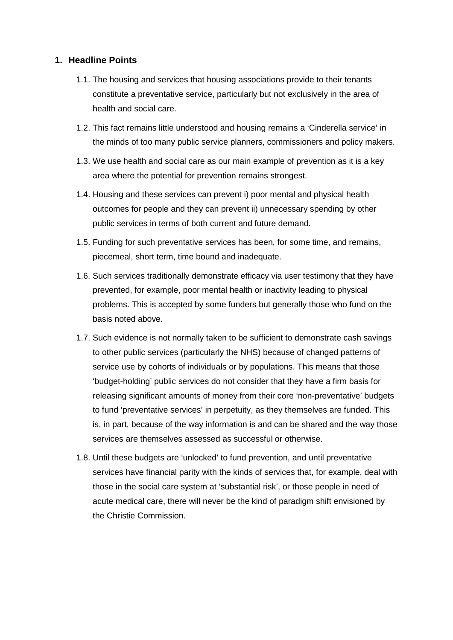### **1. Headline Points**

- 1.1. The housing and services that housing associations provide to their tenants constitute a preventative service, particularly but not exclusively in the area of health and social care.
- 1.2. This fact remains little understood and housing remains a 'Cinderella service' in the minds of too many public service planners, commissioners and policy makers.
- 1.3. We use health and social care as our main example of prevention as it is a key area where the potential for prevention remains strongest.
- 1.4. Housing and these services can prevent i) poor mental and physical health outcomes for people and they can prevent ii) unnecessary spending by other public services in terms of both current and future demand.
- 1.5. Funding for such preventative services has been, for some time, and remains, piecemeal, short term, time bound and inadequate.
- 1.6. Such services traditionally demonstrate efficacy via user testimony that they have prevented, for example, poor mental health or inactivity leading to physical problems. This is accepted by some funders but generally those who fund on the basis noted above.
- 1.7. Such evidence is not normally taken to be sufficient to demonstrate cash savings to other public services (particularly the NHS) because of changed patterns of service use by cohorts of individuals or by populations. This means that those 'budget-holding' public services do not consider that they have a firm basis for releasing significant amounts of money from their core 'non-preventative' budgets to fund 'preventative services' in perpetuity, as they themselves are funded. This is, in part, because of the way information is and can be shared and the way those services are themselves assessed as successful or otherwise.
- 1.8. Until these budgets are 'unlocked' to fund prevention, and until preventative services have financial parity with the kinds of services that, for example, deal with those in the social care system at 'substantial risk', or those people in need of acute medical care, there will never be the kind of paradigm shift envisioned by the Christie Commission.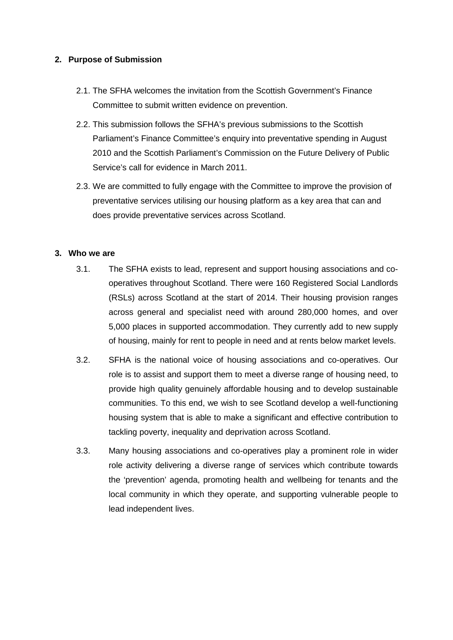### **2. Purpose of Submission**

- 2.1. The SFHA welcomes the invitation from the Scottish Government's Finance Committee to submit written evidence on prevention.
- 2.2. This submission follows the SFHA's previous submissions to the Scottish Parliament's Finance Committee's enquiry into preventative spending in August 2010 and the Scottish Parliament's Commission on the Future Delivery of Public Service's call for evidence in March 2011.
- 2.3. We are committed to fully engage with the Committee to improve the provision of preventative services utilising our housing platform as a key area that can and does provide preventative services across Scotland.

#### **3. Who we are**

- 3.1. The SFHA exists to lead, represent and support housing associations and cooperatives throughout Scotland. There were 160 Registered Social Landlords (RSLs) across Scotland at the start of 2014. Their housing provision ranges across general and specialist need with around 280,000 homes, and over 5,000 places in supported accommodation. They currently add to new supply of housing, mainly for rent to people in need and at rents below market levels.
- 3.2. SFHA is the national voice of housing associations and co-operatives. Our role is to assist and support them to meet a diverse range of housing need, to provide high quality genuinely affordable housing and to develop sustainable communities. To this end, we wish to see Scotland develop a well-functioning housing system that is able to make a significant and effective contribution to tackling poverty, inequality and deprivation across Scotland.
- 3.3. Many housing associations and co-operatives play a prominent role in wider role activity delivering a diverse range of services which contribute towards the 'prevention' agenda, promoting health and wellbeing for tenants and the local community in which they operate, and supporting vulnerable people to lead independent lives.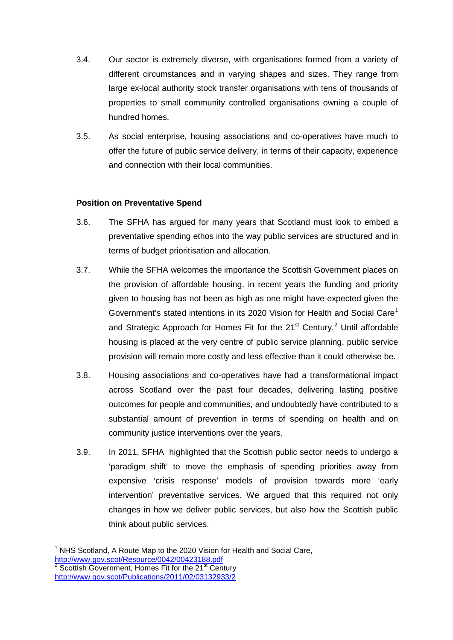- 3.4. Our sector is extremely diverse, with organisations formed from a variety of different circumstances and in varying shapes and sizes. They range from large ex-local authority stock transfer organisations with tens of thousands of properties to small community controlled organisations owning a couple of hundred homes.
- 3.5. As social enterprise, housing associations and co-operatives have much to offer the future of public service delivery, in terms of their capacity, experience and connection with their local communities.

## **Position on Preventative Spend**

- 3.6. The SFHA has argued for many years that Scotland must look to embed a preventative spending ethos into the way public services are structured and in terms of budget prioritisation and allocation.
- 3.7. While the SFHA welcomes the importance the Scottish Government places on the provision of affordable housing, in recent years the funding and priority given to housing has not been as high as one might have expected given the Government's stated intentions in its 2020 Vision for Health and Social Care<sup>[1](#page-3-0)</sup> and Strategic Approach for Homes Fit for the [2](#page-3-1)1<sup>st</sup> Century.<sup>2</sup> Until affordable housing is placed at the very centre of public service planning, public service provision will remain more costly and less effective than it could otherwise be.
- 3.8. Housing associations and co-operatives have had a transformational impact across Scotland over the past four decades, delivering lasting positive outcomes for people and communities, and undoubtedly have contributed to a substantial amount of prevention in terms of spending on health and on community justice interventions over the years.
- 3.9. In 2011, SFHA highlighted that the Scottish public sector needs to undergo a 'paradigm shift' to move the emphasis of spending priorities away from expensive 'crisis response' models of provision towards more 'early intervention' preventative services. We argued that this required not only changes in how we deliver public services, but also how the Scottish public think about public services.

<span id="page-3-1"></span><span id="page-3-0"></span> $1$  NHS Scotland, A Route Map to the 2020 Vision for Health and Social Care, http://www.gov.scot/Resource/0042/00423188.pdf<br>
<sup>2</sup> Scottish Government, Homes Fit for the 21<sup>st</sup> Century <http://www.gov.scot/Publications/2011/02/03132933/2>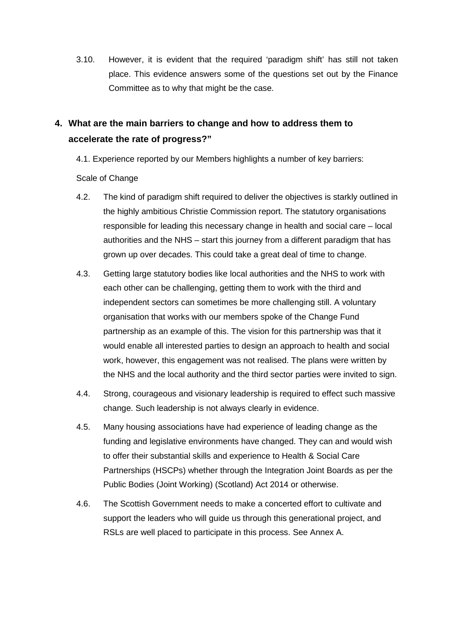3.10. However, it is evident that the required 'paradigm shift' has still not taken place. This evidence answers some of the questions set out by the Finance Committee as to why that might be the case.

# **4. What are the main barriers to change and how to address them to accelerate the rate of progress?"**

4.1. Experience reported by our Members highlights a number of key barriers:

Scale of Change

- 4.2. The kind of paradigm shift required to deliver the objectives is starkly outlined in the highly ambitious Christie Commission report. The statutory organisations responsible for leading this necessary change in health and social care – local authorities and the NHS – start this journey from a different paradigm that has grown up over decades. This could take a great deal of time to change.
- 4.3. Getting large statutory bodies like local authorities and the NHS to work with each other can be challenging, getting them to work with the third and independent sectors can sometimes be more challenging still. A voluntary organisation that works with our members spoke of the Change Fund partnership as an example of this. The vision for this partnership was that it would enable all interested parties to design an approach to health and social work, however, this engagement was not realised. The plans were written by the NHS and the local authority and the third sector parties were invited to sign.
- 4.4. Strong, courageous and visionary leadership is required to effect such massive change. Such leadership is not always clearly in evidence.
- 4.5. Many housing associations have had experience of leading change as the funding and legislative environments have changed. They can and would wish to offer their substantial skills and experience to Health & Social Care Partnerships (HSCPs) whether through the Integration Joint Boards as per the Public Bodies (Joint Working) (Scotland) Act 2014 or otherwise.
- 4.6. The Scottish Government needs to make a concerted effort to cultivate and support the leaders who will guide us through this generational project, and RSLs are well placed to participate in this process. See Annex A.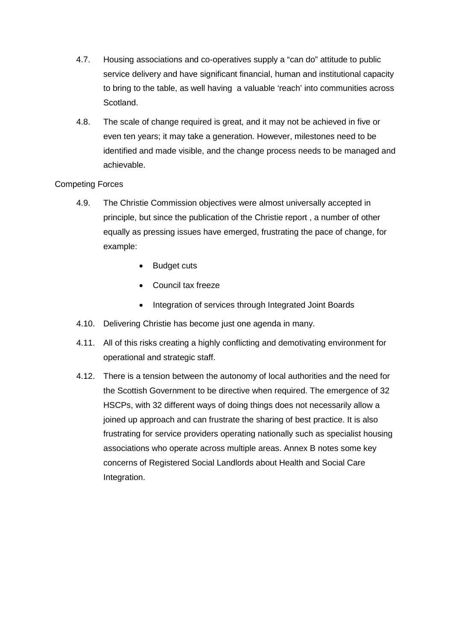- 4.7. Housing associations and co-operatives supply a "can do" attitude to public service delivery and have significant financial, human and institutional capacity to bring to the table, as well having a valuable 'reach' into communities across Scotland.
- 4.8. The scale of change required is great, and it may not be achieved in five or even ten years; it may take a generation. However, milestones need to be identified and made visible, and the change process needs to be managed and achievable.

## Competing Forces

- 4.9. The Christie Commission objectives were almost universally accepted in principle, but since the publication of the Christie report , a number of other equally as pressing issues have emerged, frustrating the pace of change, for example:
	- Budget cuts
	- Council tax freeze
	- Integration of services through Integrated Joint Boards
- 4.10. Delivering Christie has become just one agenda in many.
- 4.11. All of this risks creating a highly conflicting and demotivating environment for operational and strategic staff.
- 4.12. There is a tension between the autonomy of local authorities and the need for the Scottish Government to be directive when required. The emergence of 32 HSCPs, with 32 different ways of doing things does not necessarily allow a joined up approach and can frustrate the sharing of best practice. It is also frustrating for service providers operating nationally such as specialist housing associations who operate across multiple areas. Annex B notes some key concerns of Registered Social Landlords about Health and Social Care Integration.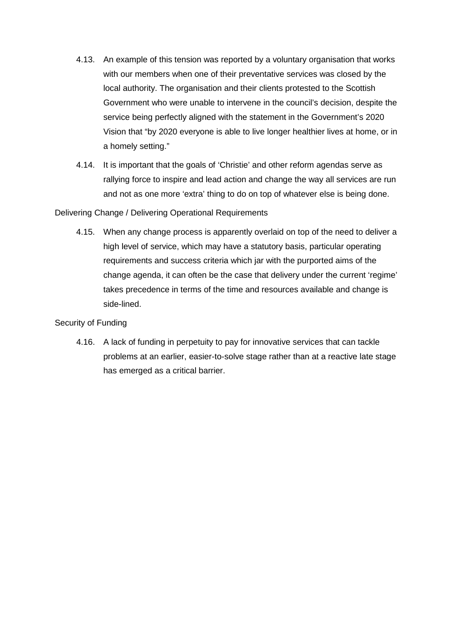- 4.13. An example of this tension was reported by a voluntary organisation that works with our members when one of their preventative services was closed by the local authority. The organisation and their clients protested to the Scottish Government who were unable to intervene in the council's decision, despite the service being perfectly aligned with the statement in the Government's 2020 Vision that "by 2020 everyone is able to live longer healthier lives at home, or in a homely setting."
- 4.14. It is important that the goals of 'Christie' and other reform agendas serve as rallying force to inspire and lead action and change the way all services are run and not as one more 'extra' thing to do on top of whatever else is being done.

Delivering Change / Delivering Operational Requirements

4.15. When any change process is apparently overlaid on top of the need to deliver a high level of service, which may have a statutory basis, particular operating requirements and success criteria which jar with the purported aims of the change agenda, it can often be the case that delivery under the current 'regime' takes precedence in terms of the time and resources available and change is side-lined.

Security of Funding

4.16. A lack of funding in perpetuity to pay for innovative services that can tackle problems at an earlier, easier-to-solve stage rather than at a reactive late stage has emerged as a critical barrier.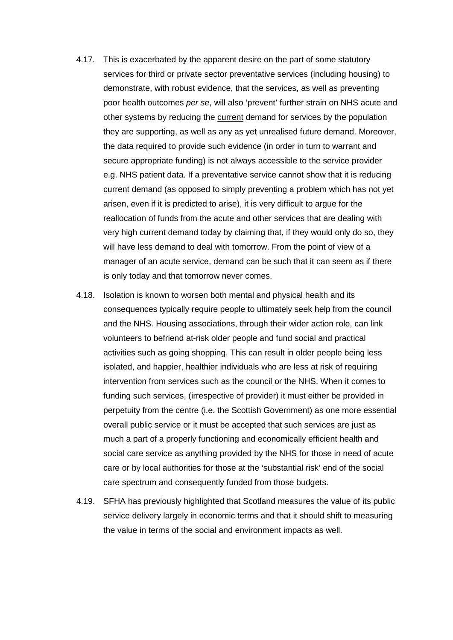- 4.17. This is exacerbated by the apparent desire on the part of some statutory services for third or private sector preventative services (including housing) to demonstrate, with robust evidence, that the services, as well as preventing poor health outcomes *per se*, will also 'prevent' further strain on NHS acute and other systems by reducing the current demand for services by the population they are supporting, as well as any as yet unrealised future demand. Moreover, the data required to provide such evidence (in order in turn to warrant and secure appropriate funding) is not always accessible to the service provider e.g. NHS patient data. If a preventative service cannot show that it is reducing current demand (as opposed to simply preventing a problem which has not yet arisen, even if it is predicted to arise), it is very difficult to argue for the reallocation of funds from the acute and other services that are dealing with very high current demand today by claiming that, if they would only do so, they will have less demand to deal with tomorrow. From the point of view of a manager of an acute service, demand can be such that it can seem as if there is only today and that tomorrow never comes.
- 4.18. Isolation is known to worsen both mental and physical health and its consequences typically require people to ultimately seek help from the council and the NHS. Housing associations, through their wider action role, can link volunteers to befriend at-risk older people and fund social and practical activities such as going shopping. This can result in older people being less isolated, and happier, healthier individuals who are less at risk of requiring intervention from services such as the council or the NHS. When it comes to funding such services, (irrespective of provider) it must either be provided in perpetuity from the centre (i.e. the Scottish Government) as one more essential overall public service or it must be accepted that such services are just as much a part of a properly functioning and economically efficient health and social care service as anything provided by the NHS for those in need of acute care or by local authorities for those at the 'substantial risk' end of the social care spectrum and consequently funded from those budgets.
- 4.19. SFHA has previously highlighted that Scotland measures the value of its public service delivery largely in economic terms and that it should shift to measuring the value in terms of the social and environment impacts as well.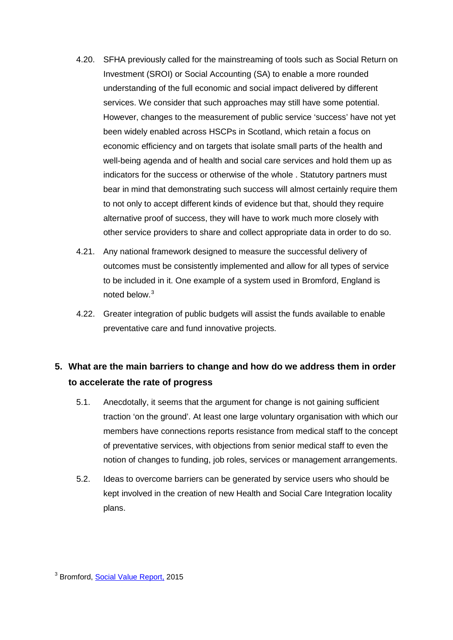- 4.20. SFHA previously called for the mainstreaming of tools such as Social Return on Investment (SROI) or Social Accounting (SA) to enable a more rounded understanding of the full economic and social impact delivered by different services. We consider that such approaches may still have some potential. However, changes to the measurement of public service 'success' have not yet been widely enabled across HSCPs in Scotland, which retain a focus on economic efficiency and on targets that isolate small parts of the health and well-being agenda and of health and social care services and hold them up as indicators for the success or otherwise of the whole . Statutory partners must bear in mind that demonstrating such success will almost certainly require them to not only to accept different kinds of evidence but that, should they require alternative proof of success, they will have to work much more closely with other service providers to share and collect appropriate data in order to do so.
- 4.21. Any national framework designed to measure the successful delivery of outcomes must be consistently implemented and allow for all types of service to be included in it. One example of a system used in Bromford, England is noted below. [3](#page-8-0)
- 4.22. Greater integration of public budgets will assist the funds available to enable preventative care and fund innovative projects.

# **5. What are the main barriers to change and how do we address them in order to accelerate the rate of progress**

- 5.1. Anecdotally, it seems that the argument for change is not gaining sufficient traction 'on the ground'. At least one large voluntary organisation with which our members have connections reports resistance from medical staff to the concept of preventative services, with objections from senior medical staff to even the notion of changes to funding, job roles, services or management arrangements.
- 5.2. Ideas to overcome barriers can be generated by service users who should be kept involved in the creation of new Health and Social Care Integration locality plans.

<span id="page-8-0"></span><sup>3</sup> Bromford, [Social Value Report,](http://www.bromford.co.uk/media/4150424/Social-Value-Report-15.pdf?utm_content=buffere969e&utm_medium=social&utm_source=twitter.com&utm_campaign=buffer) 2015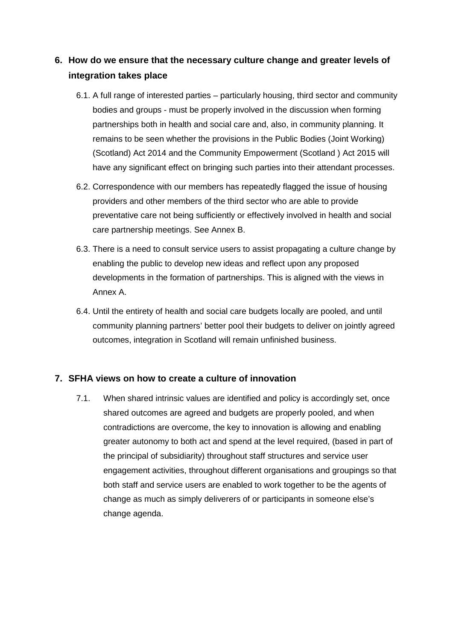# **6. How do we ensure that the necessary culture change and greater levels of integration takes place**

- 6.1. A full range of interested parties particularly housing, third sector and community bodies and groups - must be properly involved in the discussion when forming partnerships both in health and social care and, also, in community planning. It remains to be seen whether the provisions in the Public Bodies (Joint Working) (Scotland) Act 2014 and the Community Empowerment (Scotland ) Act 2015 will have any significant effect on bringing such parties into their attendant processes.
- 6.2. Correspondence with our members has repeatedly flagged the issue of housing providers and other members of the third sector who are able to provide preventative care not being sufficiently or effectively involved in health and social care partnership meetings. See Annex B.
- 6.3. There is a need to consult service users to assist propagating a culture change by enabling the public to develop new ideas and reflect upon any proposed developments in the formation of partnerships. This is aligned with the views in Annex A.
- 6.4. Until the entirety of health and social care budgets locally are pooled, and until community planning partners' better pool their budgets to deliver on jointly agreed outcomes, integration in Scotland will remain unfinished business.

## **7. SFHA views on how to create a culture of innovation**

7.1. When shared intrinsic values are identified and policy is accordingly set, once shared outcomes are agreed and budgets are properly pooled, and when contradictions are overcome, the key to innovation is allowing and enabling greater autonomy to both act and spend at the level required, (based in part of the principal of subsidiarity) throughout staff structures and service user engagement activities, throughout different organisations and groupings so that both staff and service users are enabled to work together to be the agents of change as much as simply deliverers of or participants in someone else's change agenda.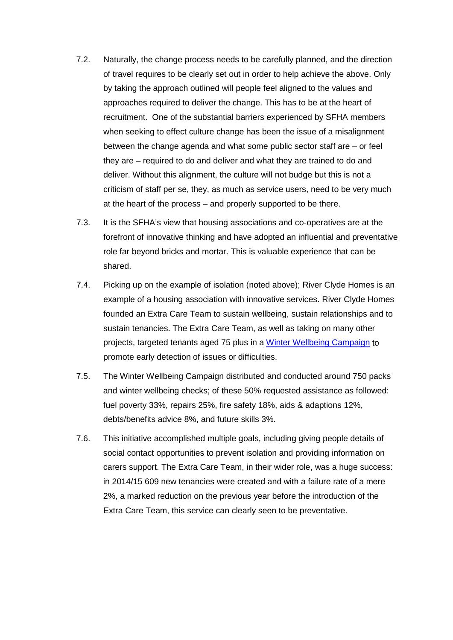- 7.2. Naturally, the change process needs to be carefully planned, and the direction of travel requires to be clearly set out in order to help achieve the above. Only by taking the approach outlined will people feel aligned to the values and approaches required to deliver the change. This has to be at the heart of recruitment. One of the substantial barriers experienced by SFHA members when seeking to effect culture change has been the issue of a misalignment between the change agenda and what some public sector staff are – or feel they are – required to do and deliver and what they are trained to do and deliver. Without this alignment, the culture will not budge but this is not a criticism of staff per se, they, as much as service users, need to be very much at the heart of the process – and properly supported to be there.
- 7.3. It is the SFHA's view that housing associations and co-operatives are at the forefront of innovative thinking and have adopted an influential and preventative role far beyond bricks and mortar. This is valuable experience that can be shared.
- 7.4. Picking up on the example of isolation (noted above); River Clyde Homes is an example of a housing association with innovative services. River Clyde Homes founded an Extra Care Team to sustain wellbeing, sustain relationships and to sustain tenancies. The Extra Care Team, as well as taking on many other projects, targeted tenants aged 75 plus in a [Winter Wellbeing Campaign](http://www.jitscotland.org.uk/example-of-practice/river-clyde-homes-extra-care-team-sustaining-wellbeing-sustaining-relationships-sustaining-tenancies/) to promote early detection of issues or difficulties.
- 7.5. The Winter Wellbeing Campaign distributed and conducted around 750 packs and winter wellbeing checks; of these 50% requested assistance as followed: fuel poverty 33%, repairs 25%, fire safety 18%, aids & adaptions 12%, debts/benefits advice 8%, and future skills 3%.
- 7.6. This initiative accomplished multiple goals, including giving people details of social contact opportunities to prevent isolation and providing information on carers support. The Extra Care Team, in their wider role, was a huge success: in 2014/15 609 new tenancies were created and with a failure rate of a mere 2%, a marked reduction on the previous year before the introduction of the Extra Care Team, this service can clearly seen to be preventative.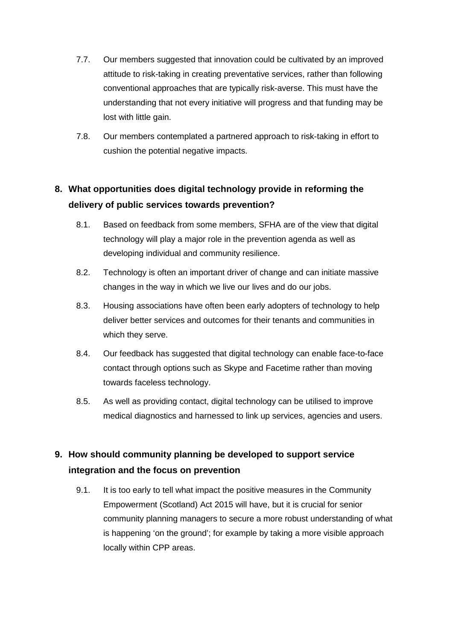- 7.7. Our members suggested that innovation could be cultivated by an improved attitude to risk-taking in creating preventative services, rather than following conventional approaches that are typically risk-averse. This must have the understanding that not every initiative will progress and that funding may be lost with little gain.
- 7.8. Our members contemplated a partnered approach to risk-taking in effort to cushion the potential negative impacts.

# **8. What opportunities does digital technology provide in reforming the delivery of public services towards prevention?**

- 8.1. Based on feedback from some members, SFHA are of the view that digital technology will play a major role in the prevention agenda as well as developing individual and community resilience.
- 8.2. Technology is often an important driver of change and can initiate massive changes in the way in which we live our lives and do our jobs.
- 8.3. Housing associations have often been early adopters of technology to help deliver better services and outcomes for their tenants and communities in which they serve.
- 8.4. Our feedback has suggested that digital technology can enable face-to-face contact through options such as Skype and Facetime rather than moving towards faceless technology.
- 8.5. As well as providing contact, digital technology can be utilised to improve medical diagnostics and harnessed to link up services, agencies and users.

# **9. How should community planning be developed to support service integration and the focus on prevention**

9.1. It is too early to tell what impact the positive measures in the Community Empowerment (Scotland) Act 2015 will have, but it is crucial for senior community planning managers to secure a more robust understanding of what is happening 'on the ground'; for example by taking a more visible approach locally within CPP areas.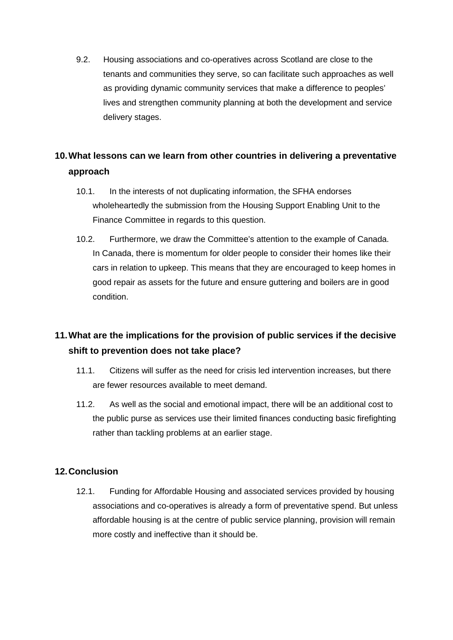9.2. Housing associations and co-operatives across Scotland are close to the tenants and communities they serve, so can facilitate such approaches as well as providing dynamic community services that make a difference to peoples' lives and strengthen community planning at both the development and service delivery stages.

# **10.What lessons can we learn from other countries in delivering a preventative approach**

- 10.1. In the interests of not duplicating information, the SFHA endorses wholeheartedly the submission from the Housing Support Enabling Unit to the Finance Committee in regards to this question.
- 10.2. Furthermore, we draw the Committee's attention to the example of Canada. In Canada, there is momentum for older people to consider their homes like their cars in relation to upkeep. This means that they are encouraged to keep homes in good repair as assets for the future and ensure guttering and boilers are in good condition.

# **11.What are the implications for the provision of public services if the decisive shift to prevention does not take place?**

- 11.1. Citizens will suffer as the need for crisis led intervention increases, but there are fewer resources available to meet demand.
- 11.2. As well as the social and emotional impact, there will be an additional cost to the public purse as services use their limited finances conducting basic firefighting rather than tackling problems at an earlier stage.

## **12.Conclusion**

12.1. Funding for Affordable Housing and associated services provided by housing associations and co-operatives is already a form of preventative spend. But unless affordable housing is at the centre of public service planning, provision will remain more costly and ineffective than it should be.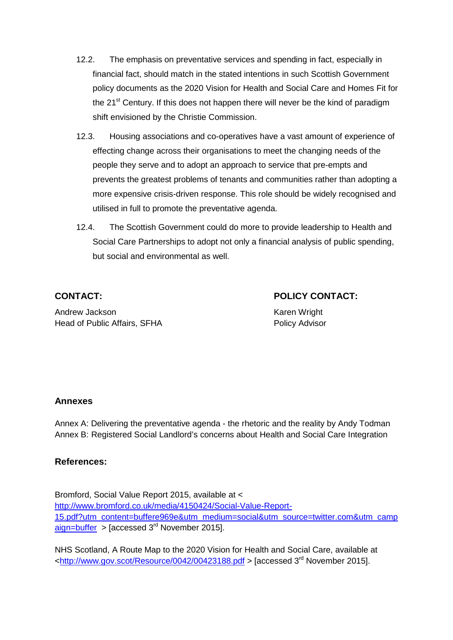- 12.2. The emphasis on preventative services and spending in fact, especially in financial fact, should match in the stated intentions in such Scottish Government policy documents as the 2020 Vision for Health and Social Care and Homes Fit for the 21<sup>st</sup> Century. If this does not happen there will never be the kind of paradigm shift envisioned by the Christie Commission.
- 12.3. Housing associations and co-operatives have a vast amount of experience of effecting change across their organisations to meet the changing needs of the people they serve and to adopt an approach to service that pre-empts and prevents the greatest problems of tenants and communities rather than adopting a more expensive crisis-driven response. This role should be widely recognised and utilised in full to promote the preventative agenda.
- 12.4. The Scottish Government could do more to provide leadership to Health and Social Care Partnerships to adopt not only a financial analysis of public spending, but social and environmental as well.

**CONTACT: POLICY CONTACT:**

Andrew Jackson **Karen Wright** Karen Wright Head of Public Affairs, SFHA Policy Advisor

## **Annexes**

Annex A: Delivering the preventative agenda - the rhetoric and the reality by Andy Todman Annex B: Registered Social Landlord's concerns about Health and Social Care Integration

#### **References:**

Bromford, Social Value Report 2015, available at < [http://www.bromford.co.uk/media/4150424/Social-Value-Report-](http://www.bromford.co.uk/media/4150424/Social-Value-Report-15.pdf?utm_content=buffere969e&utm_medium=social&utm_source=twitter.com&utm_campaign=buffer)[15.pdf?utm\\_content=buffere969e&utm\\_medium=social&utm\\_source=twitter.com&utm\\_camp](http://www.bromford.co.uk/media/4150424/Social-Value-Report-15.pdf?utm_content=buffere969e&utm_medium=social&utm_source=twitter.com&utm_campaign=buffer) [aign=buffer](http://www.bromford.co.uk/media/4150424/Social-Value-Report-15.pdf?utm_content=buffere969e&utm_medium=social&utm_source=twitter.com&utm_campaign=buffer) > [accessed  $3<sup>rd</sup>$  November 2015].

NHS Scotland, A Route Map to the 2020 Vision for Health and Social Care, available at  $\text{chttp://www.gov.scot/Resource/0042/00423188.pdf}$  > [accessed 3<sup>rd</sup> November 2015].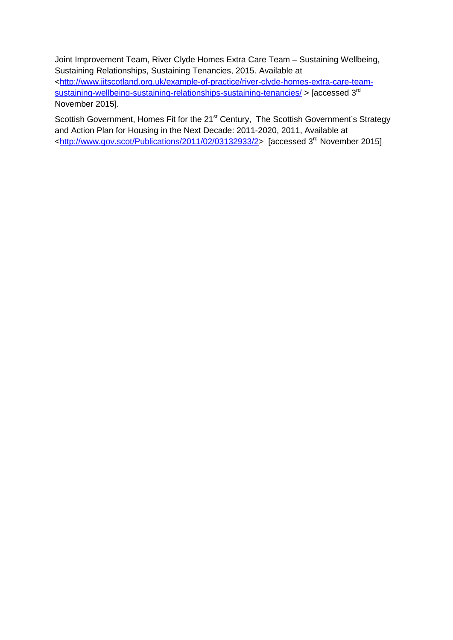Joint Improvement Team, River Clyde Homes Extra Care Team – Sustaining Wellbeing, Sustaining Relationships, Sustaining Tenancies, 2015. Available at [<http://www.jitscotland.org.uk/example-of-practice/river-clyde-homes-extra-care-team](http://www.jitscotland.org.uk/example-of-practice/river-clyde-homes-extra-care-team-sustaining-wellbeing-sustaining-relationships-sustaining-tenancies/)[sustaining-wellbeing-sustaining-relationships-sustaining-tenancies/](http://www.jitscotland.org.uk/example-of-practice/river-clyde-homes-extra-care-team-sustaining-wellbeing-sustaining-relationships-sustaining-tenancies/) > [accessed 3<sup>rd</sup>] November 2015].

Scottish Government, Homes Fit for the 21<sup>st</sup> Century, The Scottish Government's Strategy and Action Plan for Housing in the Next Decade: 2011-2020, 2011, Available at [<http://www.gov.scot/Publications/2011/02/03132933/2>](http://www.gov.scot/Publications/2011/02/03132933/2) [accessed 3rd November 2015]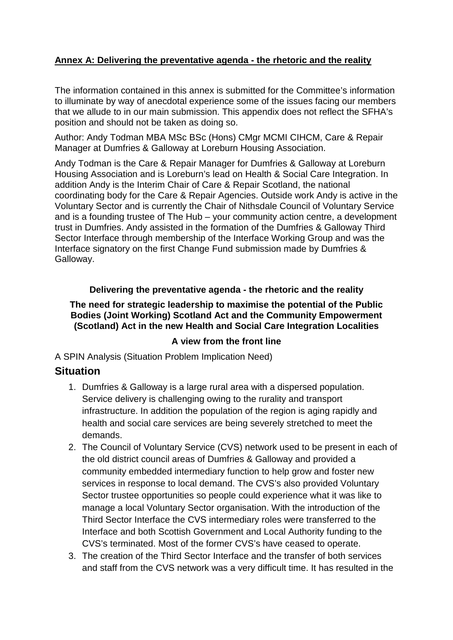## **Annex A: Delivering the preventative agenda - the rhetoric and the reality**

The information contained in this annex is submitted for the Committee's information to illuminate by way of anecdotal experience some of the issues facing our members that we allude to in our main submission. This appendix does not reflect the SFHA's position and should not be taken as doing so.

Author: Andy Todman MBA MSc BSc (Hons) CMgr MCMI CIHCM, Care & Repair Manager at Dumfries & Galloway at Loreburn Housing Association.

Andy Todman is the Care & Repair Manager for Dumfries & Galloway at Loreburn Housing Association and is Loreburn's lead on Health & Social Care Integration. In addition Andy is the Interim Chair of Care & Repair Scotland, the national coordinating body for the Care & Repair Agencies. Outside work Andy is active in the Voluntary Sector and is currently the Chair of Nithsdale Council of Voluntary Service and is a founding trustee of The Hub – your community action centre, a development trust in Dumfries. Andy assisted in the formation of the Dumfries & Galloway Third Sector Interface through membership of the Interface Working Group and was the Interface signatory on the first Change Fund submission made by Dumfries & Galloway.

## **Delivering the preventative agenda - the rhetoric and the reality**

## **The need for strategic leadership to maximise the potential of the Public Bodies (Joint Working) Scotland Act and the Community Empowerment (Scotland) Act in the new Health and Social Care Integration Localities**

## **A view from the front line**

A SPIN Analysis (Situation Problem Implication Need)

## **Situation**

- 1. Dumfries & Galloway is a large rural area with a dispersed population. Service delivery is challenging owing to the rurality and transport infrastructure. In addition the population of the region is aging rapidly and health and social care services are being severely stretched to meet the demands.
- 2. The Council of Voluntary Service (CVS) network used to be present in each of the old district council areas of Dumfries & Galloway and provided a community embedded intermediary function to help grow and foster new services in response to local demand. The CVS's also provided Voluntary Sector trustee opportunities so people could experience what it was like to manage a local Voluntary Sector organisation. With the introduction of the Third Sector Interface the CVS intermediary roles were transferred to the Interface and both Scottish Government and Local Authority funding to the CVS's terminated. Most of the former CVS's have ceased to operate.
- 3. The creation of the Third Sector Interface and the transfer of both services and staff from the CVS network was a very difficult time. It has resulted in the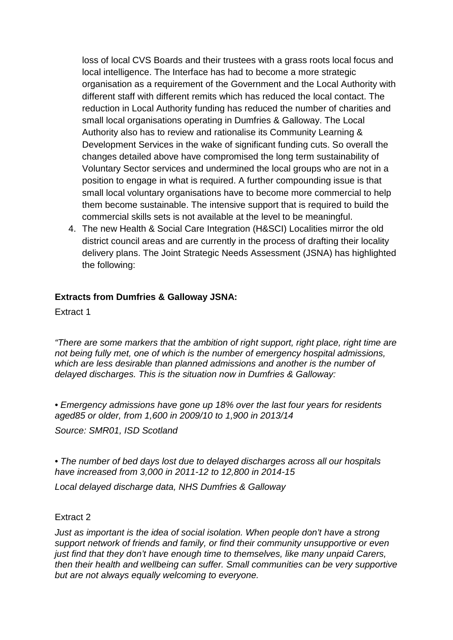loss of local CVS Boards and their trustees with a grass roots local focus and local intelligence. The Interface has had to become a more strategic organisation as a requirement of the Government and the Local Authority with different staff with different remits which has reduced the local contact. The reduction in Local Authority funding has reduced the number of charities and small local organisations operating in Dumfries & Galloway. The Local Authority also has to review and rationalise its Community Learning & Development Services in the wake of significant funding cuts. So overall the changes detailed above have compromised the long term sustainability of Voluntary Sector services and undermined the local groups who are not in a position to engage in what is required. A further compounding issue is that small local voluntary organisations have to become more commercial to help them become sustainable. The intensive support that is required to build the commercial skills sets is not available at the level to be meaningful.

4. The new Health & Social Care Integration (H&SCI) Localities mirror the old district council areas and are currently in the process of drafting their locality delivery plans. The Joint Strategic Needs Assessment (JSNA) has highlighted the following:

## **Extracts from Dumfries & Galloway JSNA:**

Extract 1

*"There are some markers that the ambition of right support, right place, right time are not being fully met, one of which is the number of emergency hospital admissions, which are less desirable than planned admissions and another is the number of delayed discharges. This is the situation now in Dumfries & Galloway:*

*• Emergency admissions have gone up 18% over the last four years for residents aged85 or older, from 1,600 in 2009/10 to 1,900 in 2013/14*

*Source: SMR01, ISD Scotland*

*• The number of bed days lost due to delayed discharges across all our hospitals have increased from 3,000 in 2011-12 to 12,800 in 2014-15*

*Local delayed discharge data, NHS Dumfries & Galloway*

#### Extract 2

*Just as important is the idea of social isolation. When people don't have a strong support network of friends and family, or find their community unsupportive or even just find that they don't have enough time to themselves, like many unpaid Carers, then their health and wellbeing can suffer. Small communities can be very supportive but are not always equally welcoming to everyone.*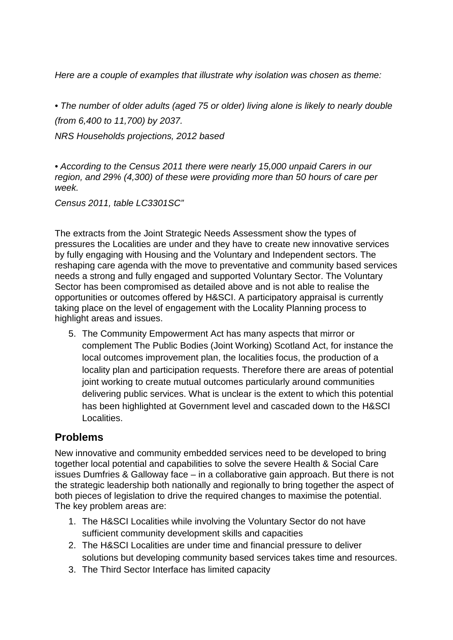*Here are a couple of examples that illustrate why isolation was chosen as theme:*

*• The number of older adults (aged 75 or older) living alone is likely to nearly double (from 6,400 to 11,700) by 2037. NRS Households projections, 2012 based*

*• According to the Census 2011 there were nearly 15,000 unpaid Carers in our region, and 29% (4,300) of these were providing more than 50 hours of care per week.* 

*Census 2011, table LC3301SC"*

The extracts from the Joint Strategic Needs Assessment show the types of pressures the Localities are under and they have to create new innovative services by fully engaging with Housing and the Voluntary and Independent sectors. The reshaping care agenda with the move to preventative and community based services needs a strong and fully engaged and supported Voluntary Sector. The Voluntary Sector has been compromised as detailed above and is not able to realise the opportunities or outcomes offered by H&SCI. A participatory appraisal is currently taking place on the level of engagement with the Locality Planning process to highlight areas and issues.

5. The Community Empowerment Act has many aspects that mirror or complement The Public Bodies (Joint Working) Scotland Act, for instance the local outcomes improvement plan, the localities focus, the production of a locality plan and participation requests. Therefore there are areas of potential joint working to create mutual outcomes particularly around communities delivering public services. What is unclear is the extent to which this potential has been highlighted at Government level and cascaded down to the H&SCI Localities.

# **Problems**

New innovative and community embedded services need to be developed to bring together local potential and capabilities to solve the severe Health & Social Care issues Dumfries & Galloway face – in a collaborative gain approach. But there is not the strategic leadership both nationally and regionally to bring together the aspect of both pieces of legislation to drive the required changes to maximise the potential. The key problem areas are:

- 1. The H&SCI Localities while involving the Voluntary Sector do not have sufficient community development skills and capacities
- 2. The H&SCI Localities are under time and financial pressure to deliver solutions but developing community based services takes time and resources.
- 3. The Third Sector Interface has limited capacity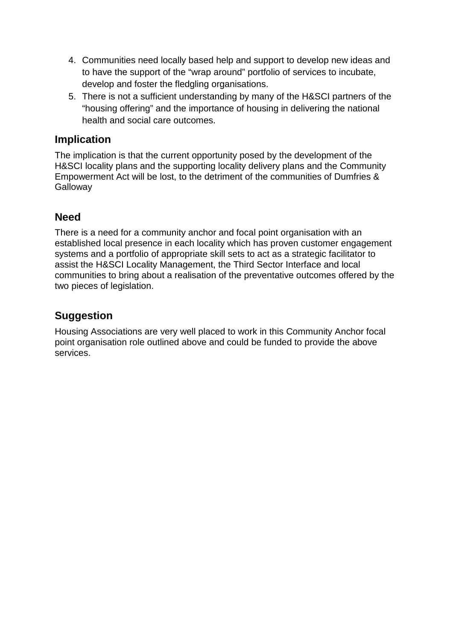- 4. Communities need locally based help and support to develop new ideas and to have the support of the "wrap around" portfolio of services to incubate, develop and foster the fledgling organisations.
- 5. There is not a sufficient understanding by many of the H&SCI partners of the "housing offering" and the importance of housing in delivering the national health and social care outcomes.

# **Implication**

The implication is that the current opportunity posed by the development of the H&SCI locality plans and the supporting locality delivery plans and the Community Empowerment Act will be lost, to the detriment of the communities of Dumfries & **Galloway** 

# **Need**

There is a need for a community anchor and focal point organisation with an established local presence in each locality which has proven customer engagement systems and a portfolio of appropriate skill sets to act as a strategic facilitator to assist the H&SCI Locality Management, the Third Sector Interface and local communities to bring about a realisation of the preventative outcomes offered by the two pieces of legislation.

# **Suggestion**

Housing Associations are very well placed to work in this Community Anchor focal point organisation role outlined above and could be funded to provide the above services.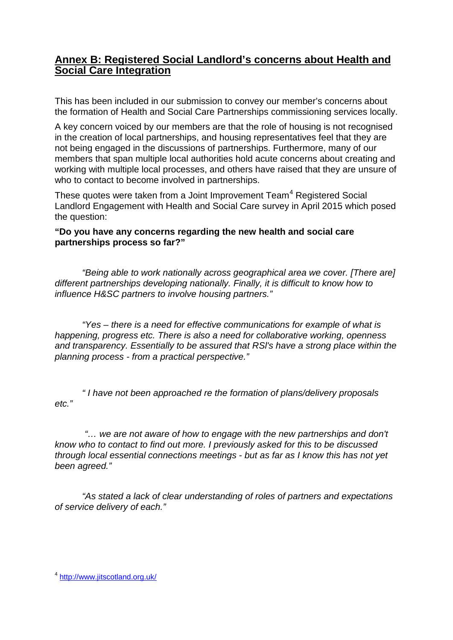## **Annex B: Registered Social Landlord's concerns about Health and Social Care Integration**

This has been included in our submission to convey our member's concerns about the formation of Health and Social Care Partnerships commissioning services locally.

A key concern voiced by our members are that the role of housing is not recognised in the creation of local partnerships, and housing representatives feel that they are not being engaged in the discussions of partnerships. Furthermore, many of our members that span multiple local authorities hold acute concerns about creating and working with multiple local processes, and others have raised that they are unsure of who to contact to become involved in partnerships.

These quotes were taken from a Joint Improvement Team<sup>[4](#page-19-0)</sup> Registered Social Landlord Engagement with Health and Social Care survey in April 2015 which posed the question:

## **"Do you have any concerns regarding the new health and social care partnerships process so far?"**

 *"Being able to work nationally across geographical area we cover. [There are] different partnerships developing nationally. Finally, it is difficult to know how to influence H&SC partners to involve housing partners."* 

*"Yes – there is a need for effective communications for example of what is happening, progress etc. There is also a need for collaborative working, openness and transparency. Essentially to be assured that RSl's have a strong place within the planning process - from a practical perspective."* 

 *" I have not been approached re the formation of plans/delivery proposals etc."* 

*"… we are not aware of how to engage with the new partnerships and don't know who to contact to find out more. I previously asked for this to be discussed through local essential connections meetings - but as far as I know this has not yet been agreed."*

*"As stated a lack of clear understanding of roles of partners and expectations of service delivery of each."* 

<span id="page-19-0"></span><sup>4</sup> <http://www.jitscotland.org.uk/>